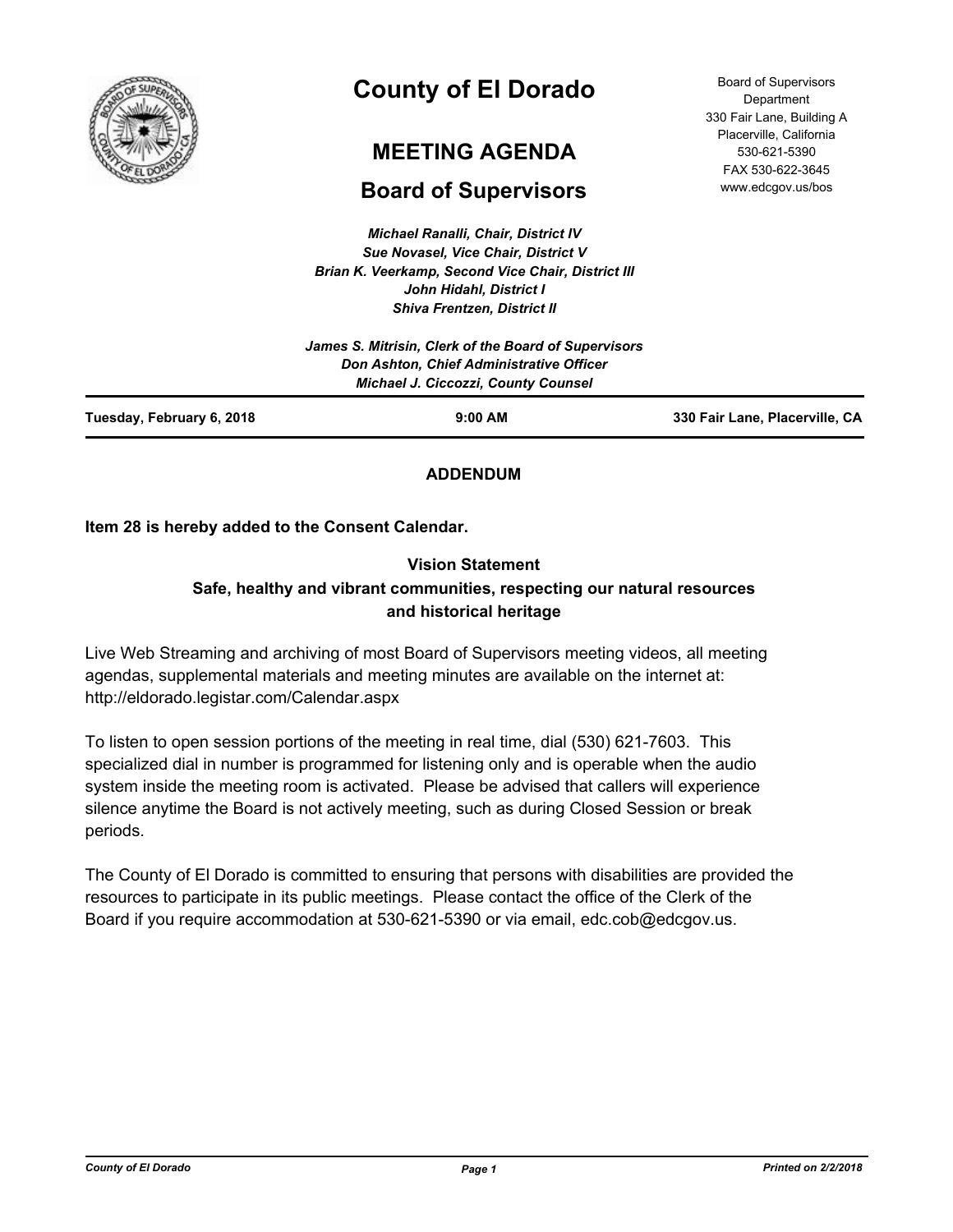

# **County of El Dorado**

# **MEETING AGENDA**

## **Board of Supervisors**

*Michael Ranalli, Chair, District IV Sue Novasel, Vice Chair, District V Brian K. Veerkamp, Second Vice Chair, District III John Hidahl, District I Shiva Frentzen, District II*

Board of Supervisors **Department** 330 Fair Lane, Building A Placerville, California 530-621-5390 FAX 530-622-3645 www.edcgov.us/bos

|                           | James S. Mitrisin, Clerk of the Board of Supervisors                                   |                                |
|---------------------------|----------------------------------------------------------------------------------------|--------------------------------|
|                           | Don Ashton, Chief Administrative Officer<br><b>Michael J. Ciccozzi, County Counsel</b> |                                |
| Tuesday, February 6, 2018 | $9:00$ AM                                                                              | 330 Fair Lane, Placerville, CA |

## **ADDENDUM**

**Item 28 is hereby added to the Consent Calendar.**

## **Vision Statement Safe, healthy and vibrant communities, respecting our natural resources and historical heritage**

Live Web Streaming and archiving of most Board of Supervisors meeting videos, all meeting agendas, supplemental materials and meeting minutes are available on the internet at: http://eldorado.legistar.com/Calendar.aspx

To listen to open session portions of the meeting in real time, dial (530) 621-7603. This specialized dial in number is programmed for listening only and is operable when the audio system inside the meeting room is activated. Please be advised that callers will experience silence anytime the Board is not actively meeting, such as during Closed Session or break periods.

The County of El Dorado is committed to ensuring that persons with disabilities are provided the resources to participate in its public meetings. Please contact the office of the Clerk of the Board if you require accommodation at 530-621-5390 or via email, edc.cob@edcgov.us.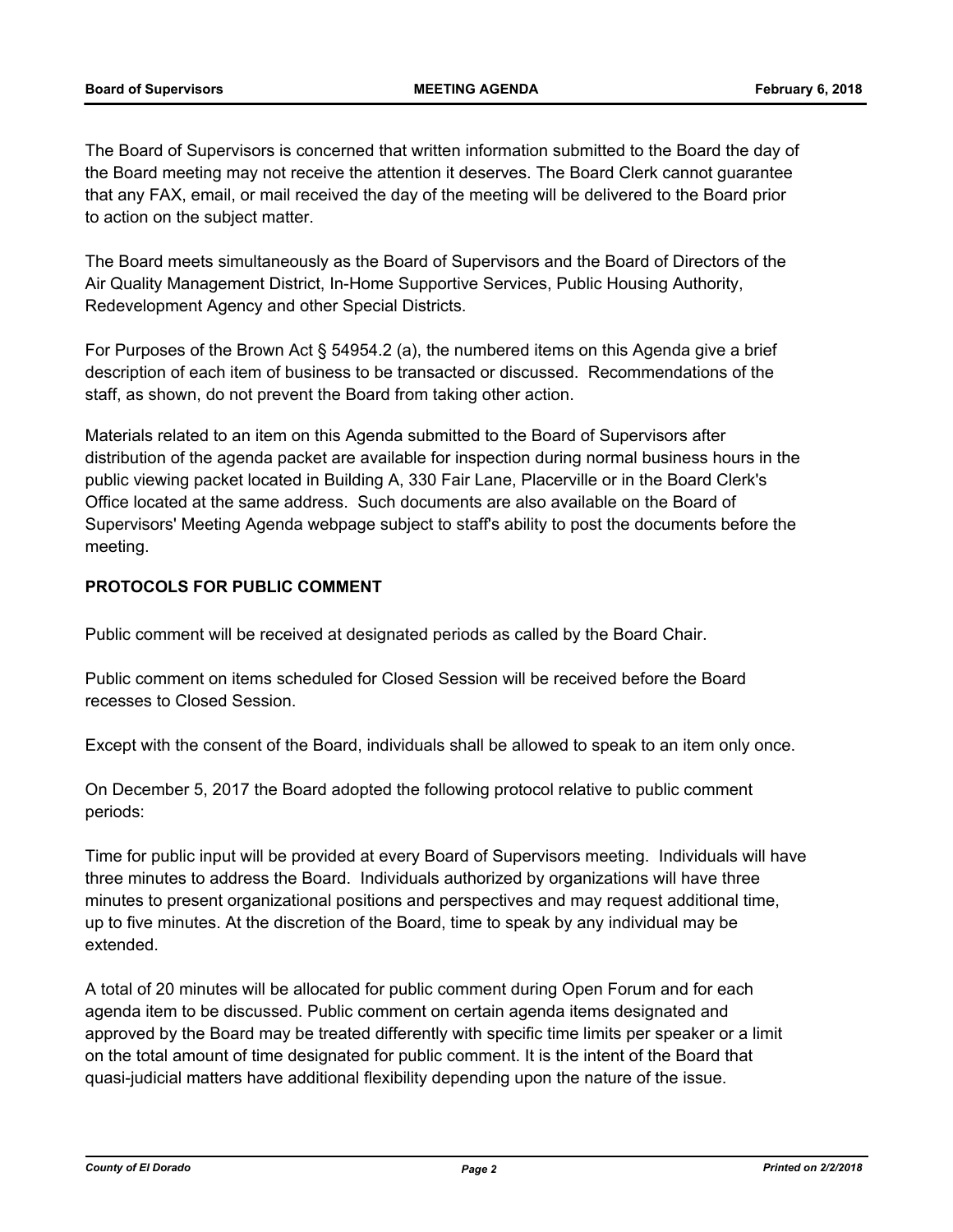The Board of Supervisors is concerned that written information submitted to the Board the day of the Board meeting may not receive the attention it deserves. The Board Clerk cannot guarantee that any FAX, email, or mail received the day of the meeting will be delivered to the Board prior to action on the subject matter.

The Board meets simultaneously as the Board of Supervisors and the Board of Directors of the Air Quality Management District, In-Home Supportive Services, Public Housing Authority, Redevelopment Agency and other Special Districts.

For Purposes of the Brown Act § 54954.2 (a), the numbered items on this Agenda give a brief description of each item of business to be transacted or discussed. Recommendations of the staff, as shown, do not prevent the Board from taking other action.

Materials related to an item on this Agenda submitted to the Board of Supervisors after distribution of the agenda packet are available for inspection during normal business hours in the public viewing packet located in Building A, 330 Fair Lane, Placerville or in the Board Clerk's Office located at the same address. Such documents are also available on the Board of Supervisors' Meeting Agenda webpage subject to staff's ability to post the documents before the meeting.

## **PROTOCOLS FOR PUBLIC COMMENT**

Public comment will be received at designated periods as called by the Board Chair.

Public comment on items scheduled for Closed Session will be received before the Board recesses to Closed Session.

Except with the consent of the Board, individuals shall be allowed to speak to an item only once.

On December 5, 2017 the Board adopted the following protocol relative to public comment periods:

Time for public input will be provided at every Board of Supervisors meeting. Individuals will have three minutes to address the Board. Individuals authorized by organizations will have three minutes to present organizational positions and perspectives and may request additional time, up to five minutes. At the discretion of the Board, time to speak by any individual may be extended.

A total of 20 minutes will be allocated for public comment during Open Forum and for each agenda item to be discussed. Public comment on certain agenda items designated and approved by the Board may be treated differently with specific time limits per speaker or a limit on the total amount of time designated for public comment. It is the intent of the Board that quasi-judicial matters have additional flexibility depending upon the nature of the issue.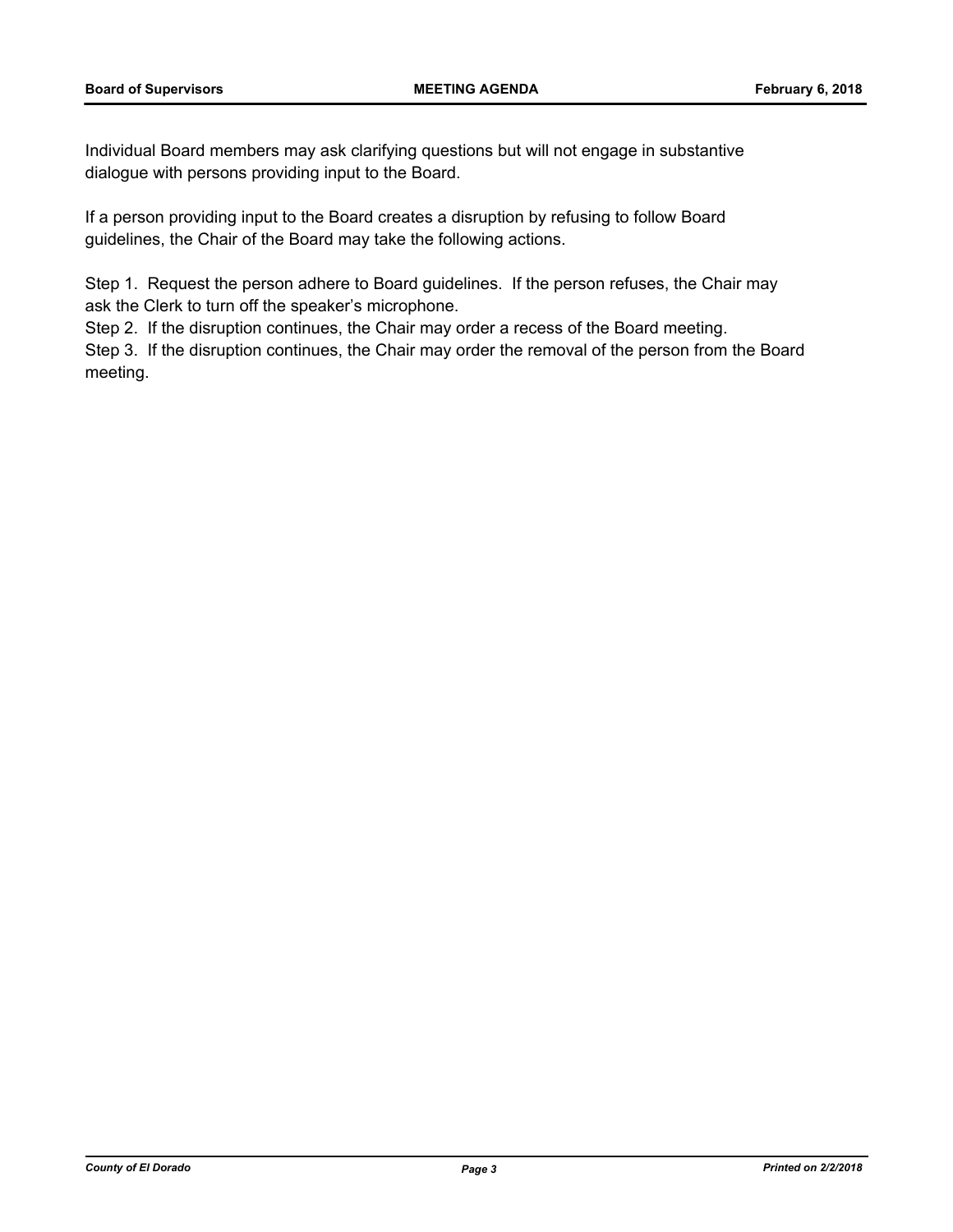Individual Board members may ask clarifying questions but will not engage in substantive dialogue with persons providing input to the Board.

If a person providing input to the Board creates a disruption by refusing to follow Board guidelines, the Chair of the Board may take the following actions.

Step 1. Request the person adhere to Board guidelines. If the person refuses, the Chair may ask the Clerk to turn off the speaker's microphone.

Step 2. If the disruption continues, the Chair may order a recess of the Board meeting.

Step 3. If the disruption continues, the Chair may order the removal of the person from the Board meeting.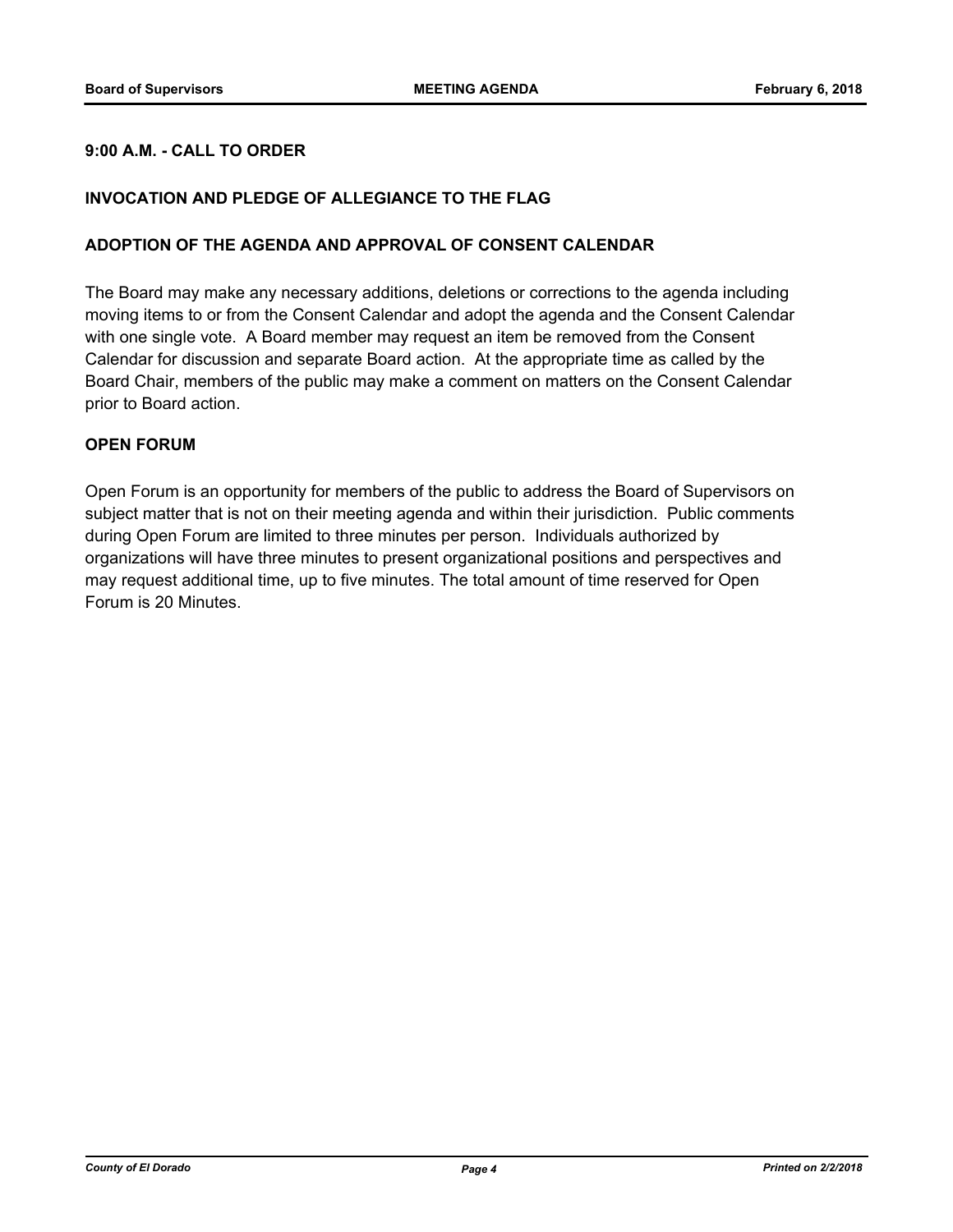## **9:00 A.M. - CALL TO ORDER**

#### **INVOCATION AND PLEDGE OF ALLEGIANCE TO THE FLAG**

#### **ADOPTION OF THE AGENDA AND APPROVAL OF CONSENT CALENDAR**

The Board may make any necessary additions, deletions or corrections to the agenda including moving items to or from the Consent Calendar and adopt the agenda and the Consent Calendar with one single vote. A Board member may request an item be removed from the Consent Calendar for discussion and separate Board action. At the appropriate time as called by the Board Chair, members of the public may make a comment on matters on the Consent Calendar prior to Board action.

#### **OPEN FORUM**

Open Forum is an opportunity for members of the public to address the Board of Supervisors on subject matter that is not on their meeting agenda and within their jurisdiction. Public comments during Open Forum are limited to three minutes per person. Individuals authorized by organizations will have three minutes to present organizational positions and perspectives and may request additional time, up to five minutes. The total amount of time reserved for Open Forum is 20 Minutes.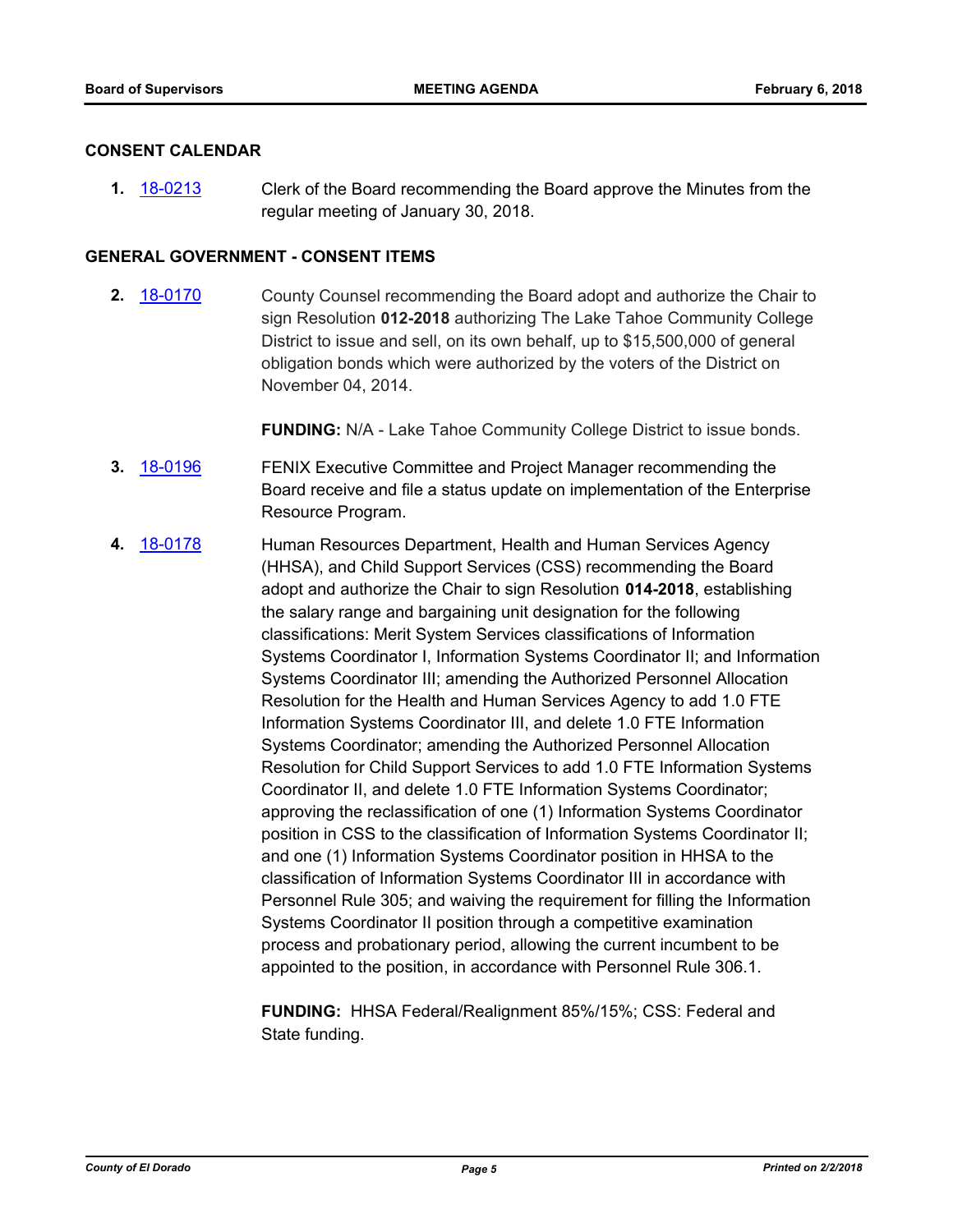#### **CONSENT CALENDAR**

**1.** [18-0213](http://eldorado.legistar.com/gateway.aspx?m=l&id=/matter.aspx?key=23555) Clerk of the Board recommending the Board approve the Minutes from the regular meeting of January 30, 2018.

## **GENERAL GOVERNMENT - CONSENT ITEMS**

**2.** [18-0170](http://eldorado.legistar.com/gateway.aspx?m=l&id=/matter.aspx?key=23512) County Counsel recommending the Board adopt and authorize the Chair to sign Resolution **012-2018** authorizing The Lake Tahoe Community College District to issue and sell, on its own behalf, up to \$15,500,000 of general obligation bonds which were authorized by the voters of the District on November 04, 2014.

**FUNDING:** N/A - Lake Tahoe Community College District to issue bonds.

- **3.** [18-0196](http://eldorado.legistar.com/gateway.aspx?m=l&id=/matter.aspx?key=23538) FENIX Executive Committee and Project Manager recommending the Board receive and file a status update on implementation of the Enterprise Resource Program.
- **4.** [18-0178](http://eldorado.legistar.com/gateway.aspx?m=l&id=/matter.aspx?key=23520) Human Resources Department, Health and Human Services Agency (HHSA), and Child Support Services (CSS) recommending the Board adopt and authorize the Chair to sign Resolution **014-2018**, establishing the salary range and bargaining unit designation for the following classifications: Merit System Services classifications of Information Systems Coordinator I, Information Systems Coordinator II; and Information Systems Coordinator III; amending the Authorized Personnel Allocation Resolution for the Health and Human Services Agency to add 1.0 FTE Information Systems Coordinator III, and delete 1.0 FTE Information Systems Coordinator; amending the Authorized Personnel Allocation Resolution for Child Support Services to add 1.0 FTE Information Systems Coordinator II, and delete 1.0 FTE Information Systems Coordinator; approving the reclassification of one (1) Information Systems Coordinator position in CSS to the classification of Information Systems Coordinator II; and one (1) Information Systems Coordinator position in HHSA to the classification of Information Systems Coordinator III in accordance with Personnel Rule 305; and waiving the requirement for filling the Information Systems Coordinator II position through a competitive examination process and probationary period, allowing the current incumbent to be appointed to the position, in accordance with Personnel Rule 306.1.

**FUNDING:** HHSA Federal/Realignment 85%/15%; CSS: Federal and State funding.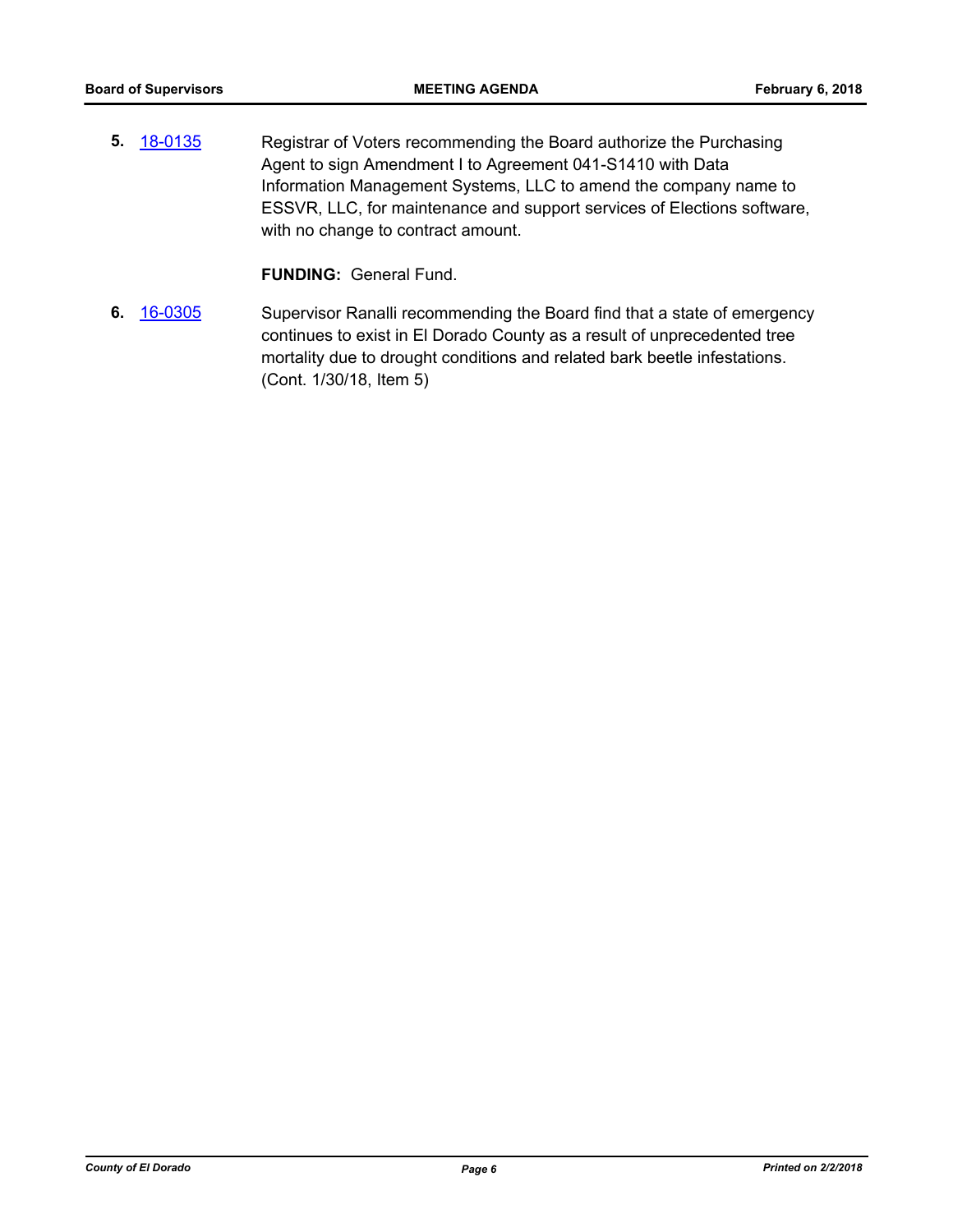**5.** [18-0135](http://eldorado.legistar.com/gateway.aspx?m=l&id=/matter.aspx?key=23477) Registrar of Voters recommending the Board authorize the Purchasing Agent to sign Amendment I to Agreement 041-S1410 with Data Information Management Systems, LLC to amend the company name to ESSVR, LLC, for maintenance and support services of Elections software, with no change to contract amount.

**FUNDING:** General Fund.

**6.** [16-0305](http://eldorado.legistar.com/gateway.aspx?m=l&id=/matter.aspx?key=20961) Supervisor Ranalli recommending the Board find that a state of emergency continues to exist in El Dorado County as a result of unprecedented tree mortality due to drought conditions and related bark beetle infestations. (Cont. 1/30/18, Item 5)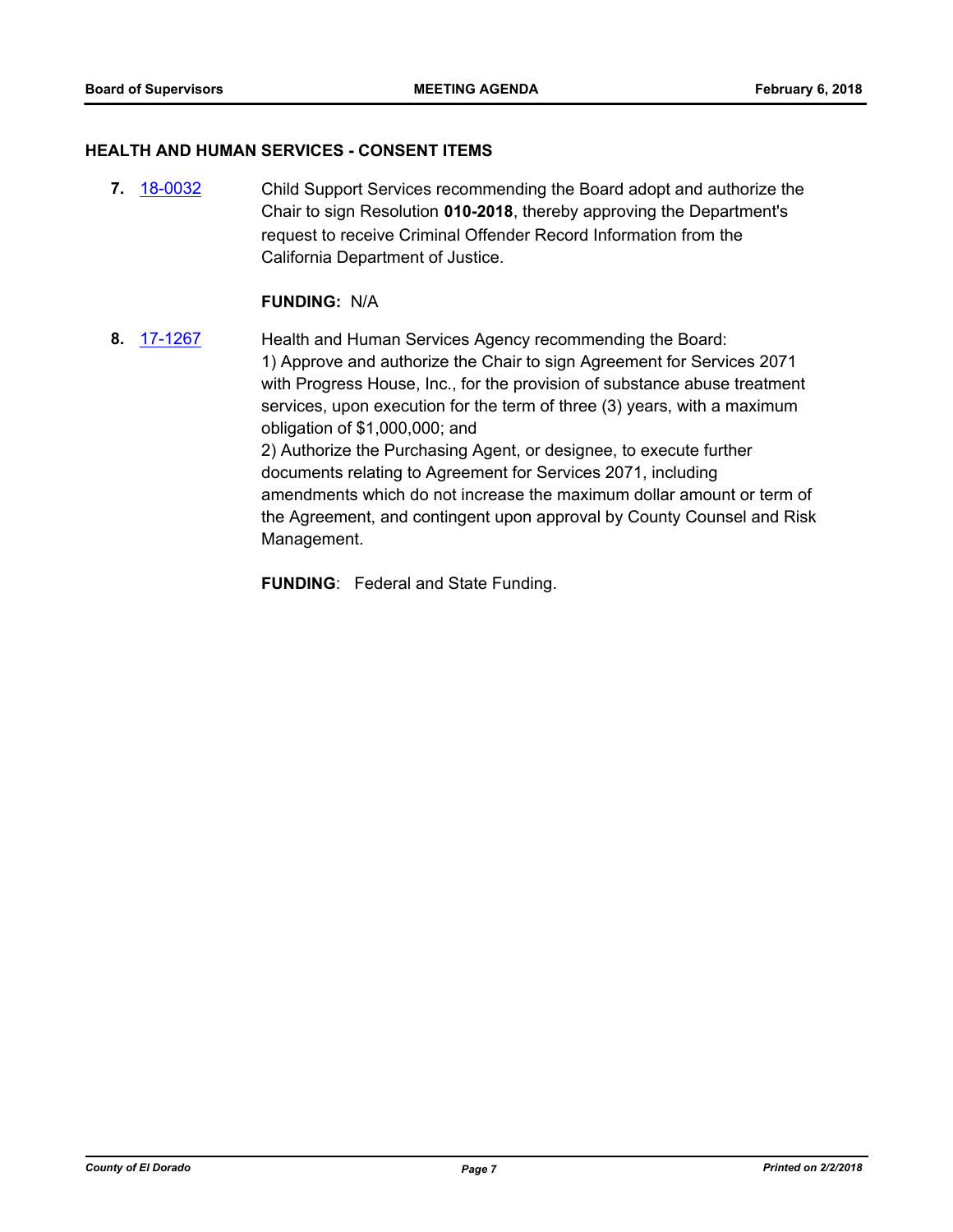#### **HEALTH AND HUMAN SERVICES - CONSENT ITEMS**

**7.** [18-0032](http://eldorado.legistar.com/gateway.aspx?m=l&id=/matter.aspx?key=23373) Child Support Services recommending the Board adopt and authorize the Chair to sign Resolution **010-2018**, thereby approving the Department's request to receive Criminal Offender Record Information from the California Department of Justice.

#### **FUNDING:** N/A

**8.** [17-1267](http://eldorado.legistar.com/gateway.aspx?m=l&id=/matter.aspx?key=23211) Health and Human Services Agency recommending the Board: 1) Approve and authorize the Chair to sign Agreement for Services 2071 with Progress House, Inc., for the provision of substance abuse treatment services, upon execution for the term of three (3) years, with a maximum obligation of \$1,000,000; and 2) Authorize the Purchasing Agent, or designee, to execute further documents relating to Agreement for Services 2071, including amendments which do not increase the maximum dollar amount or term of the Agreement, and contingent upon approval by County Counsel and Risk Management.

**FUNDING**: Federal and State Funding.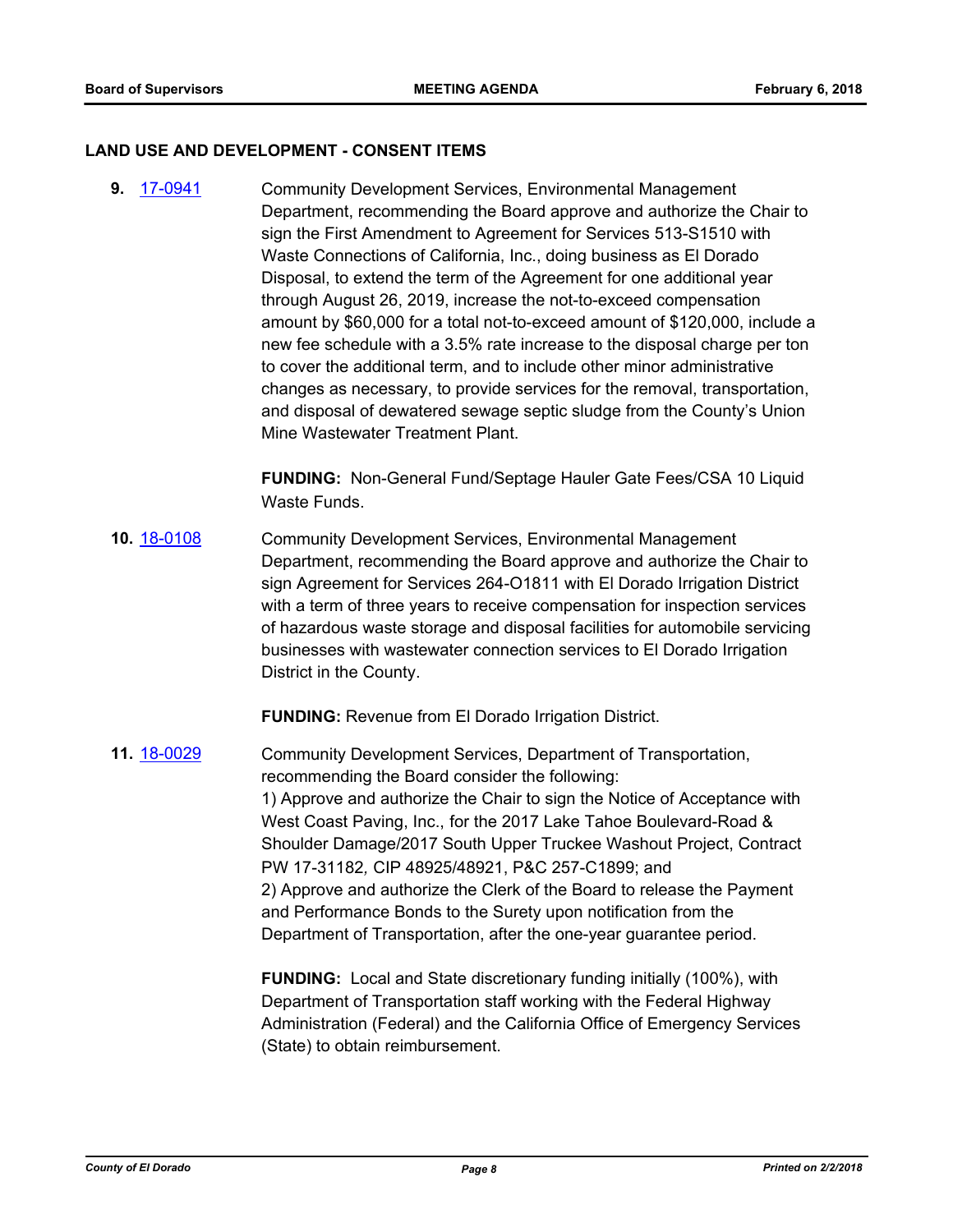#### **LAND USE AND DEVELOPMENT - CONSENT ITEMS**

**9.** [17-0941](http://eldorado.legistar.com/gateway.aspx?m=l&id=/matter.aspx?key=22884) Community Development Services, Environmental Management Department, recommending the Board approve and authorize the Chair to sign the First Amendment to Agreement for Services 513-S1510 with Waste Connections of California, Inc., doing business as El Dorado Disposal, to extend the term of the Agreement for one additional year through August 26, 2019, increase the not-to-exceed compensation amount by \$60,000 for a total not-to-exceed amount of \$120,000, include a new fee schedule with a 3.5% rate increase to the disposal charge per ton to cover the additional term, and to include other minor administrative changes as necessary, to provide services for the removal, transportation, and disposal of dewatered sewage septic sludge from the County's Union Mine Wastewater Treatment Plant.

> **FUNDING:** Non-General Fund/Septage Hauler Gate Fees/CSA 10 Liquid Waste Funds.

**10.** [18-0108](http://eldorado.legistar.com/gateway.aspx?m=l&id=/matter.aspx?key=23450) Community Development Services, Environmental Management Department, recommending the Board approve and authorize the Chair to sign Agreement for Services 264-O1811 with El Dorado Irrigation District with a term of three years to receive compensation for inspection services of hazardous waste storage and disposal facilities for automobile servicing businesses with wastewater connection services to El Dorado Irrigation District in the County.

**FUNDING:** Revenue from El Dorado Irrigation District.

**11.** [18-0029](http://eldorado.legistar.com/gateway.aspx?m=l&id=/matter.aspx?key=23370) Community Development Services, Department of Transportation, recommending the Board consider the following: 1) Approve and authorize the Chair to sign the Notice of Acceptance with West Coast Paving, Inc., for the 2017 Lake Tahoe Boulevard-Road & Shoulder Damage/2017 South Upper Truckee Washout Project, Contract PW 17-31182*,* CIP 48925/48921, P&C 257-C1899; and 2) Approve and authorize the Clerk of the Board to release the Payment and Performance Bonds to the Surety upon notification from the Department of Transportation, after the one-year guarantee period.

> **FUNDING:** Local and State discretionary funding initially (100%), with Department of Transportation staff working with the Federal Highway Administration (Federal) and the California Office of Emergency Services (State) to obtain reimbursement.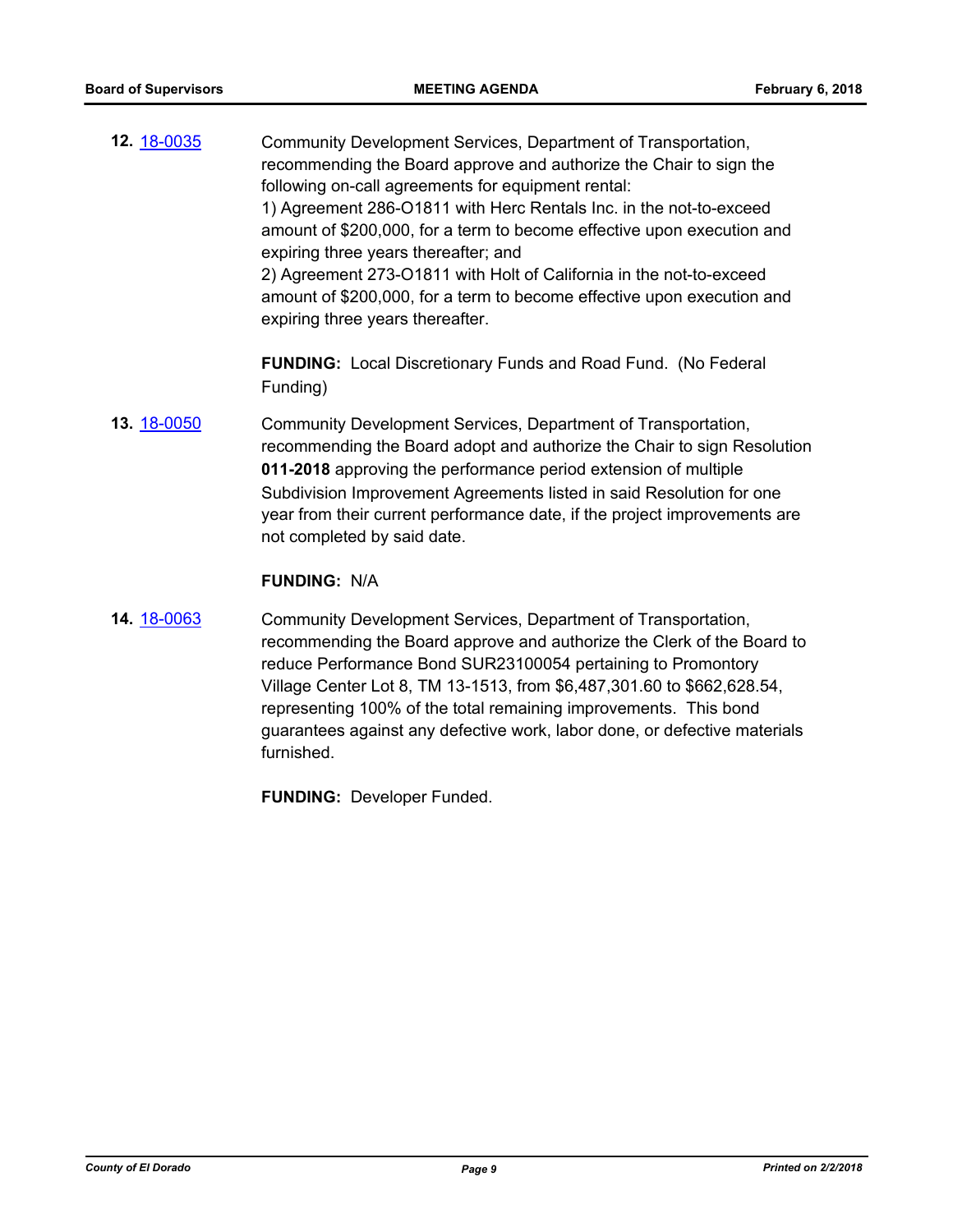**12.** [18-0035](http://eldorado.legistar.com/gateway.aspx?m=l&id=/matter.aspx?key=23376) Community Development Services, Department of Transportation, recommending the Board approve and authorize the Chair to sign the following on-call agreements for equipment rental: 1) Agreement 286-O1811 with Herc Rentals Inc. in the not-to-exceed amount of \$200,000, for a term to become effective upon execution and expiring three years thereafter; and 2) Agreement 273-O1811 with Holt of California in the not-to-exceed amount of \$200,000, for a term to become effective upon execution and expiring three years thereafter.

> **FUNDING:** Local Discretionary Funds and Road Fund. (No Federal Funding)

**13.** [18-0050](http://eldorado.legistar.com/gateway.aspx?m=l&id=/matter.aspx?key=23391) Community Development Services, Department of Transportation, recommending the Board adopt and authorize the Chair to sign Resolution **011-2018** approving the performance period extension of multiple Subdivision Improvement Agreements listed in said Resolution for one year from their current performance date, if the project improvements are not completed by said date.

#### **FUNDING:** N/A

**14.** [18-0063](http://eldorado.legistar.com/gateway.aspx?m=l&id=/matter.aspx?key=23404) Community Development Services, Department of Transportation, recommending the Board approve and authorize the Clerk of the Board to reduce Performance Bond SUR23100054 pertaining to Promontory Village Center Lot 8, TM 13-1513, from \$6,487,301.60 to \$662,628.54, representing 100% of the total remaining improvements. This bond guarantees against any defective work, labor done, or defective materials furnished.

**FUNDING:** Developer Funded.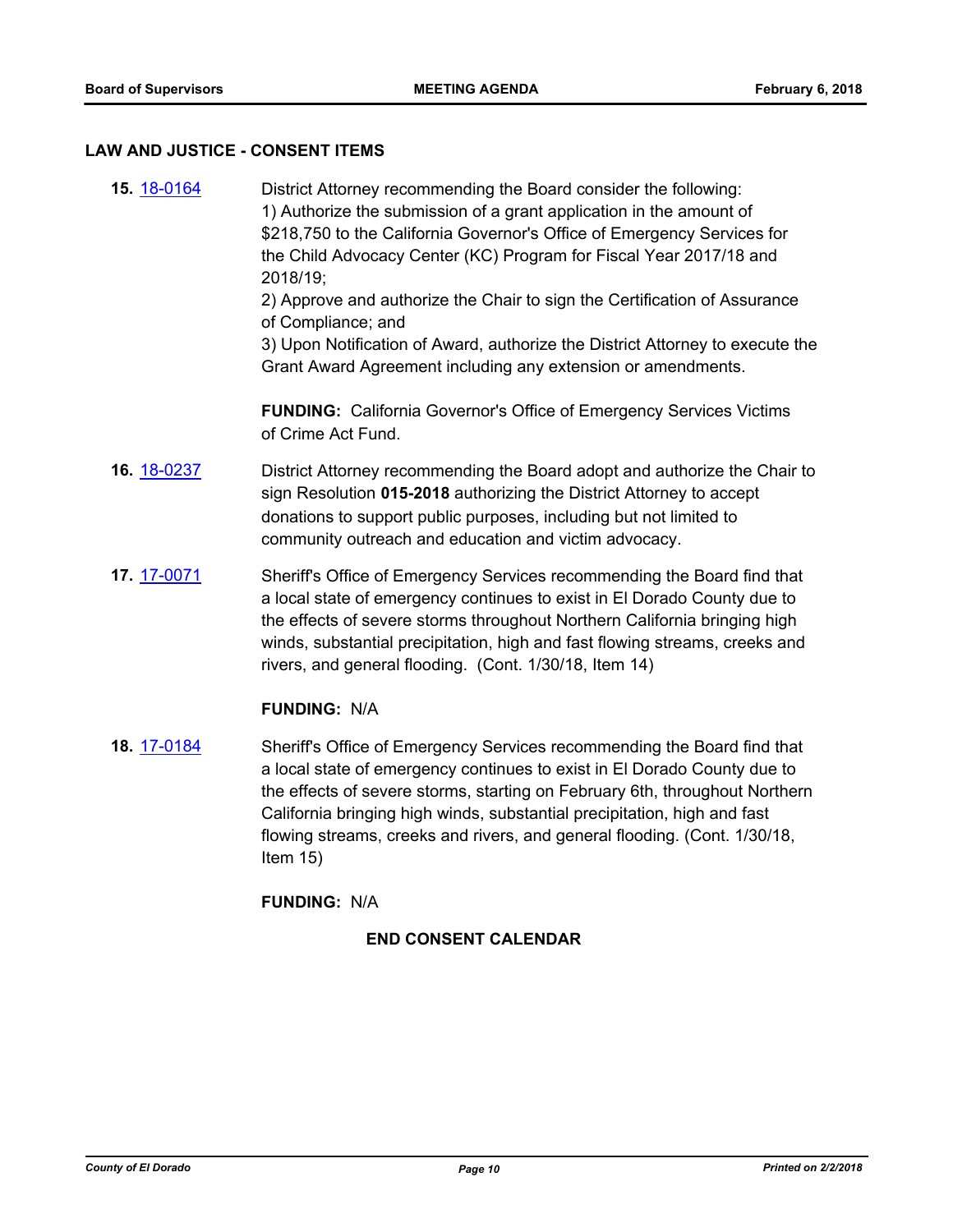#### **LAW AND JUSTICE - CONSENT ITEMS**

**15.** [18-0164](http://eldorado.legistar.com/gateway.aspx?m=l&id=/matter.aspx?key=23506) District Attorney recommending the Board consider the following: 1) Authorize the submission of a grant application in the amount of \$218,750 to the California Governor's Office of Emergency Services for the Child Advocacy Center (KC) Program for Fiscal Year 2017/18 and 2018/19;

2) Approve and authorize the Chair to sign the Certification of Assurance of Compliance; and

3) Upon Notification of Award, authorize the District Attorney to execute the Grant Award Agreement including any extension or amendments.

**FUNDING:** California Governor's Office of Emergency Services Victims of Crime Act Fund.

- **16.** [18-0237](http://eldorado.legistar.com/gateway.aspx?m=l&id=/matter.aspx?key=23579) District Attorney recommending the Board adopt and authorize the Chair to sign Resolution **015-2018** authorizing the District Attorney to accept donations to support public purposes, including but not limited to community outreach and education and victim advocacy.
- **17.** [17-0071](http://eldorado.legistar.com/gateway.aspx?m=l&id=/matter.aspx?key=22008) Sheriff's Office of Emergency Services recommending the Board find that a local state of emergency continues to exist in El Dorado County due to the effects of severe storms throughout Northern California bringing high winds, substantial precipitation, high and fast flowing streams, creeks and rivers, and general flooding. (Cont. 1/30/18, Item 14)

## **FUNDING:** N/A

**18.** [17-0184](http://eldorado.legistar.com/gateway.aspx?m=l&id=/matter.aspx?key=22122) Sheriff's Office of Emergency Services recommending the Board find that a local state of emergency continues to exist in El Dorado County due to the effects of severe storms, starting on February 6th, throughout Northern California bringing high winds, substantial precipitation, high and fast flowing streams, creeks and rivers, and general flooding. (Cont. 1/30/18, Item 15)

## **FUNDING:** N/A

## **END CONSENT CALENDAR**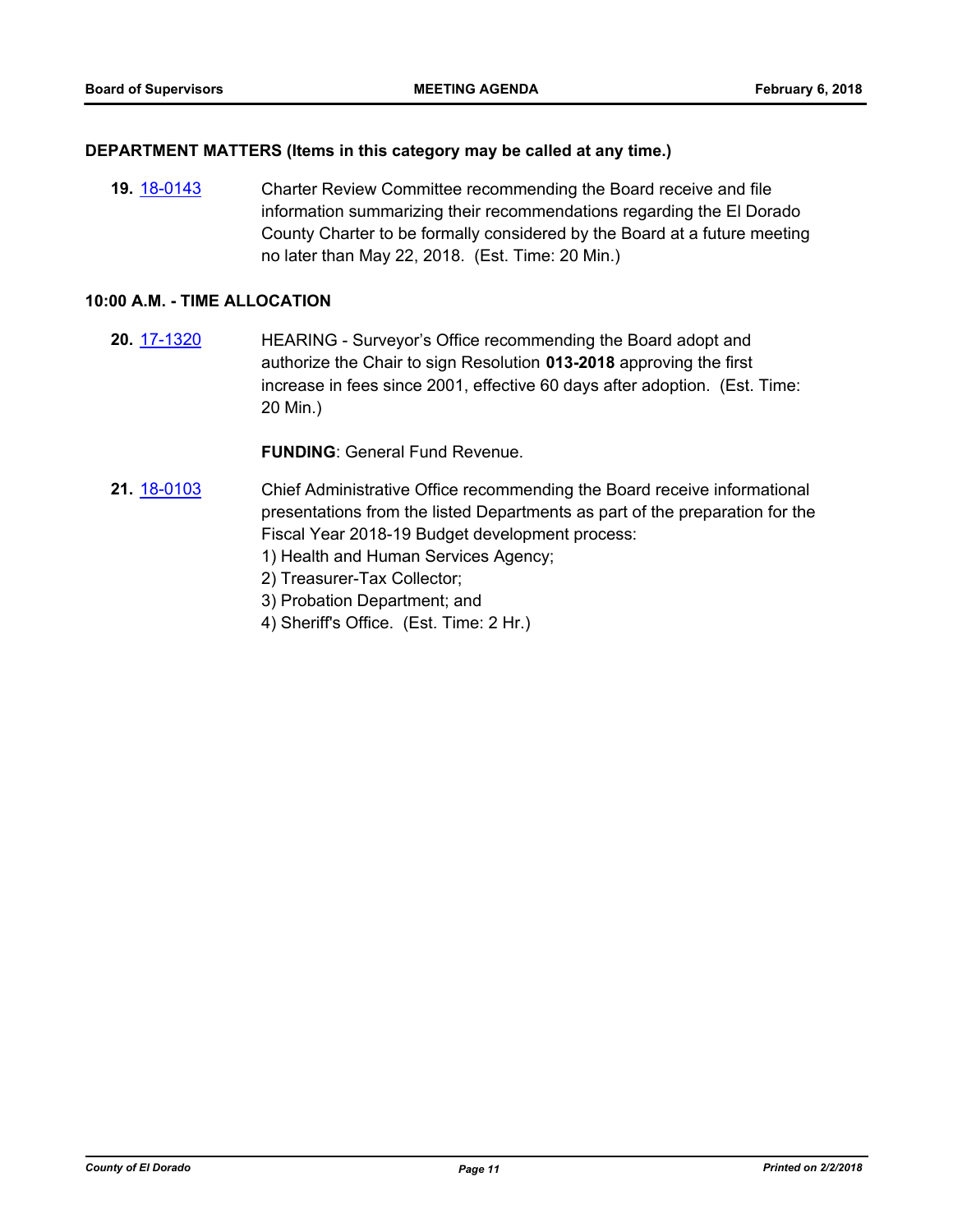#### **DEPARTMENT MATTERS (Items in this category may be called at any time.)**

**19.** [18-0143](http://eldorado.legistar.com/gateway.aspx?m=l&id=/matter.aspx?key=23485) Charter Review Committee recommending the Board receive and file information summarizing their recommendations regarding the El Dorado County Charter to be formally considered by the Board at a future meeting no later than May 22, 2018. (Est. Time: 20 Min.)

#### **10:00 A.M. - TIME ALLOCATION**

**20.** [17-1320](http://eldorado.legistar.com/gateway.aspx?m=l&id=/matter.aspx?key=23264) HEARING - Surveyor's Office recommending the Board adopt and authorize the Chair to sign Resolution **013-2018** approving the first increase in fees since 2001, effective 60 days after adoption. (Est. Time: 20 Min.)

#### **FUNDING**: General Fund Revenue.

- **21.** [18-0103](http://eldorado.legistar.com/gateway.aspx?m=l&id=/matter.aspx?key=23445) Chief Administrative Office recommending the Board receive informational presentations from the listed Departments as part of the preparation for the Fiscal Year 2018-19 Budget development process:
	- 1) Health and Human Services Agency;
	- 2) Treasurer-Tax Collector;
	- 3) Probation Department; and
	- 4) Sheriff's Office. (Est. Time: 2 Hr.)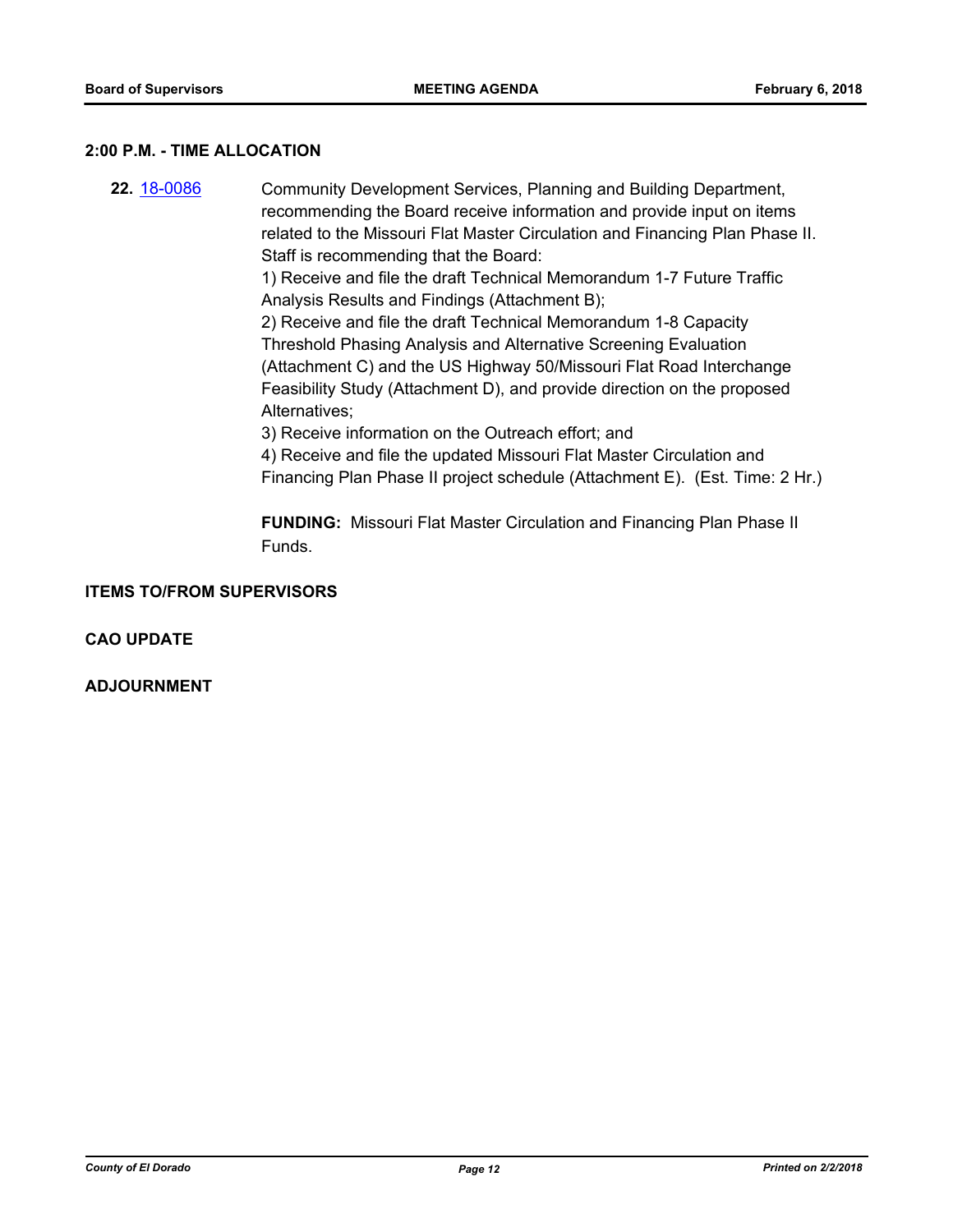#### **2:00 P.M. - TIME ALLOCATION**

**22.** [18-0086](http://eldorado.legistar.com/gateway.aspx?m=l&id=/matter.aspx?key=23427) Community Development Services, Planning and Building Department, recommending the Board receive information and provide input on items related to the Missouri Flat Master Circulation and Financing Plan Phase II. Staff is recommending that the Board:

1) Receive and file the draft Technical Memorandum 1-7 Future Traffic Analysis Results and Findings (Attachment B);

2) Receive and file the draft Technical Memorandum 1-8 Capacity Threshold Phasing Analysis and Alternative Screening Evaluation (Attachment C) and the US Highway 50/Missouri Flat Road Interchange Feasibility Study (Attachment D), and provide direction on the proposed Alternatives;

3) Receive information on the Outreach effort; and

4) Receive and file the updated Missouri Flat Master Circulation and Financing Plan Phase II project schedule (Attachment E). (Est. Time: 2 Hr.)

**FUNDING:** Missouri Flat Master Circulation and Financing Plan Phase II Funds.

**ITEMS TO/FROM SUPERVISORS**

**CAO UPDATE**

**ADJOURNMENT**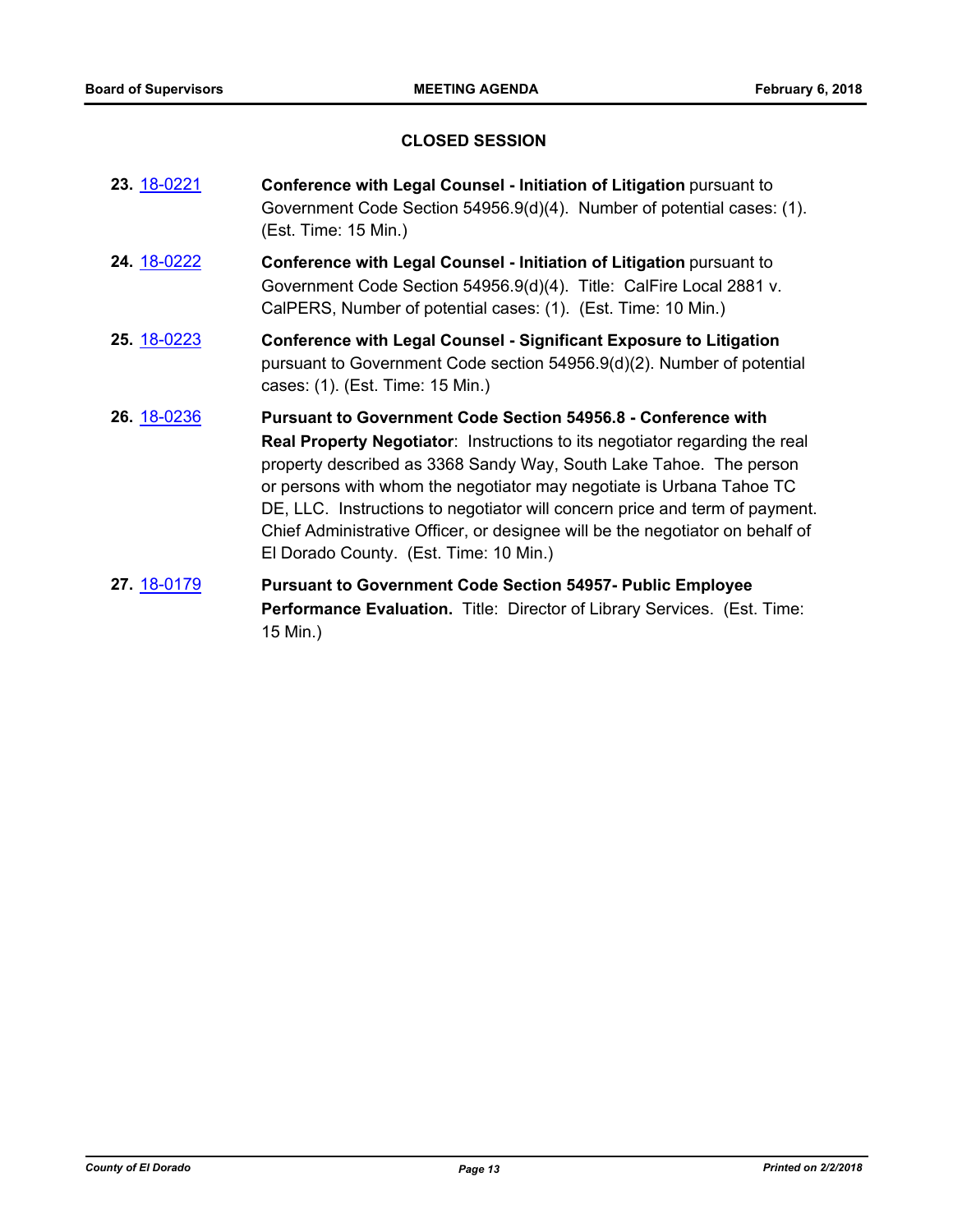## **CLOSED SESSION**

- **23.** [18-0221](http://eldorado.legistar.com/gateway.aspx?m=l&id=/matter.aspx?key=23563) **Conference with Legal Counsel Initiation of Litigation** pursuant to Government Code Section 54956.9(d)(4). Number of potential cases: (1). (Est. Time: 15 Min.)
- **24.** [18-0222](http://eldorado.legistar.com/gateway.aspx?m=l&id=/matter.aspx?key=23564) **Conference with Legal Counsel Initiation of Litigation** pursuant to Government Code Section 54956.9(d)(4). Title: CalFire Local 2881 v. CalPERS, Number of potential cases: (1). (Est. Time: 10 Min.)
- **25.** [18-0223](http://eldorado.legistar.com/gateway.aspx?m=l&id=/matter.aspx?key=23565) **Conference with Legal Counsel Significant Exposure to Litigation** pursuant to Government Code section 54956.9(d)(2). Number of potential cases: (1). (Est. Time: 15 Min.)
- **26.** [18-0236](http://eldorado.legistar.com/gateway.aspx?m=l&id=/matter.aspx?key=23578) **Pursuant to Government Code Section 54956.8 Conference with Real Property Negotiator**: Instructions to its negotiator regarding the real property described as 3368 Sandy Way, South Lake Tahoe. The person or persons with whom the negotiator may negotiate is Urbana Tahoe TC DE, LLC. Instructions to negotiator will concern price and term of payment. Chief Administrative Officer, or designee will be the negotiator on behalf of El Dorado County. (Est. Time: 10 Min.)
- **27.** [18-0179](http://eldorado.legistar.com/gateway.aspx?m=l&id=/matter.aspx?key=23521) **Pursuant to Government Code Section 54957- Public Employee Performance Evaluation.** Title: Director of Library Services. (Est. Time: 15 Min.)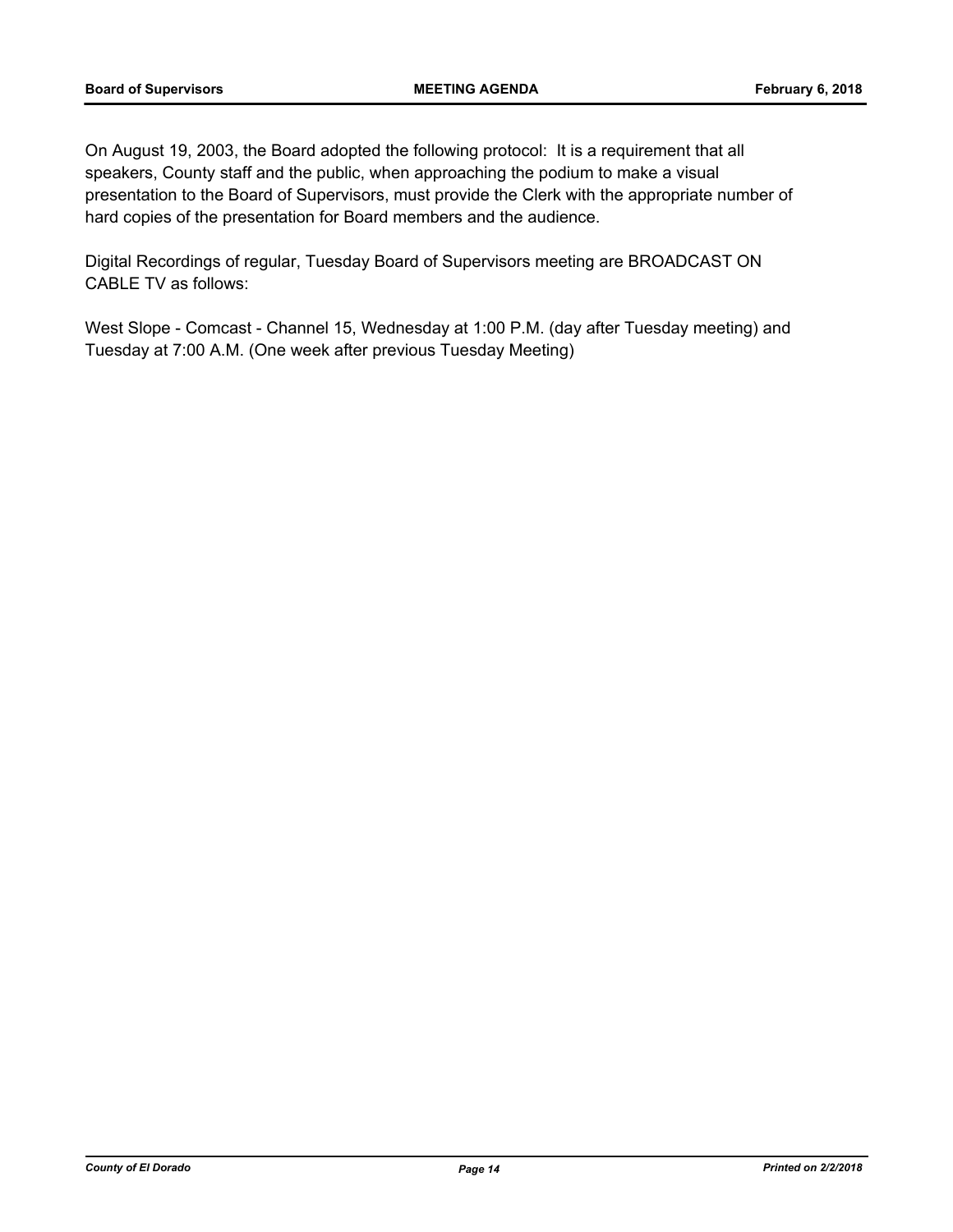On August 19, 2003, the Board adopted the following protocol: It is a requirement that all speakers, County staff and the public, when approaching the podium to make a visual presentation to the Board of Supervisors, must provide the Clerk with the appropriate number of hard copies of the presentation for Board members and the audience.

Digital Recordings of regular, Tuesday Board of Supervisors meeting are BROADCAST ON CABLE TV as follows:

West Slope - Comcast - Channel 15, Wednesday at 1:00 P.M. (day after Tuesday meeting) and Tuesday at 7:00 A.M. (One week after previous Tuesday Meeting)